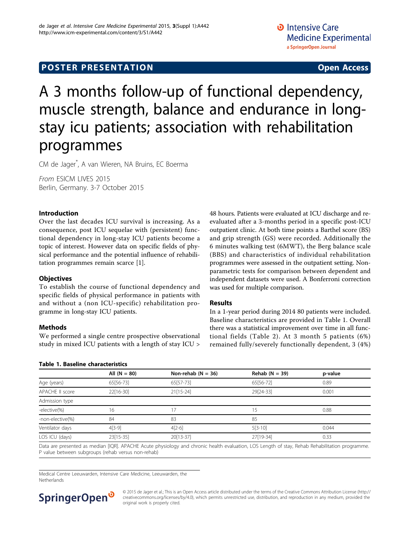### **POSTER PRESENTATION CONSUMING ACCESS**

# A 3 months follow-up of functional dependency, muscle strength, balance and endurance in longstay icu patients; association with rehabilitation programmes

CM de Jager\* , A van Wieren, NA Bruins, EC Boerma

From ESICM LIVES 2015 Berlin, Germany. 3-7 October 2015

#### Introduction

Over the last decades ICU survival is increasing. As a consequence, post ICU sequelae with (persistent) functional dependency in long-stay ICU patients become a topic of interest. However data on specific fields of physical performance and the potential influence of rehabilitation programmes remain scarce [[1\]](#page-1-0).

### **Objectives**

To establish the course of functional dependency and specific fields of physical performance in patients with and without a (non ICU-specific) rehabilitation programme in long-stay ICU patients.

#### Methods

We performed a single centre prospective observational study in mixed ICU patients with a length of stay ICU > 48 hours. Patients were evaluated at ICU discharge and reevaluated after a 3-months period in a specific post-ICU outpatient clinic. At both time points a Barthel score (BS) and grip strength (GS) were recorded. Additionally the 6 minutes walking test (6MWT), the Berg balance scale (BBS) and characteristics of individual rehabilitation programmes were assessed in the outpatient setting. Nonparametric tests for comparison between dependent and independent datasets were used. A Bonferroni correction was used for multiple comparison.

#### Results

In a 1-year period during 2014 80 patients were included. Baseline characteristics are provided in Table 1. Overall there was a statistical improvement over time in all functional fields (Table [2](#page-1-0)). At 3 month 5 patients (6%) remained fully/severely functionally dependent, 3 (4%)

|                  | All $(N = 80)$ | Non-rehab ( $N = 36$ ) | Rehab $(N = 39)$ | p-value |  |
|------------------|----------------|------------------------|------------------|---------|--|
| Age (years)      | 65[56-73]      | 65[57-73]              | 65[56-72]        | 0.89    |  |
| APACHE II score  | 22[16-30]      | $21[15-24]$            | 29[24-33]        | 0.001   |  |
| Admission type   |                |                        |                  |         |  |
| -elective(%)     | 16             | 17                     | 15<br>0.88       |         |  |
| -non-elective(%) | 84             | 83                     | 85               |         |  |
| Ventilator days  | $4[3-9]$       | $4[2-6]$               | $5[3-10]$        | 0.044   |  |
| LOS ICU (days)   | $23[15-35]$    | 20[13-37]              | 27[19-34]        | 0.33    |  |

Data are presented as median [IQR]. APACHE Acute physiology and chronic health evaluation, LOS Length of stay, Rehab Rehabilitation programme. P value between subgroups (rehab versus non-rehab)

Medical Centre Leeuwarden, Intensive Care Medicine, Leeuwarden, the Netherlands

### SpringerOpen<sup>®</sup>

Table 1. Baseline characteristics

© 2015 de Jager et al.; This is an Open Access article distributed under the terms of the Creative Commons Attribution License [\(http://](http://creativecommons.org/licenses/by/4.0) [creativecommons.org/licenses/by/4.0](http://creativecommons.org/licenses/by/4.0)), which permits unrestricted use, distribution, and reproduction in any medium, provided the original work is properly cited.